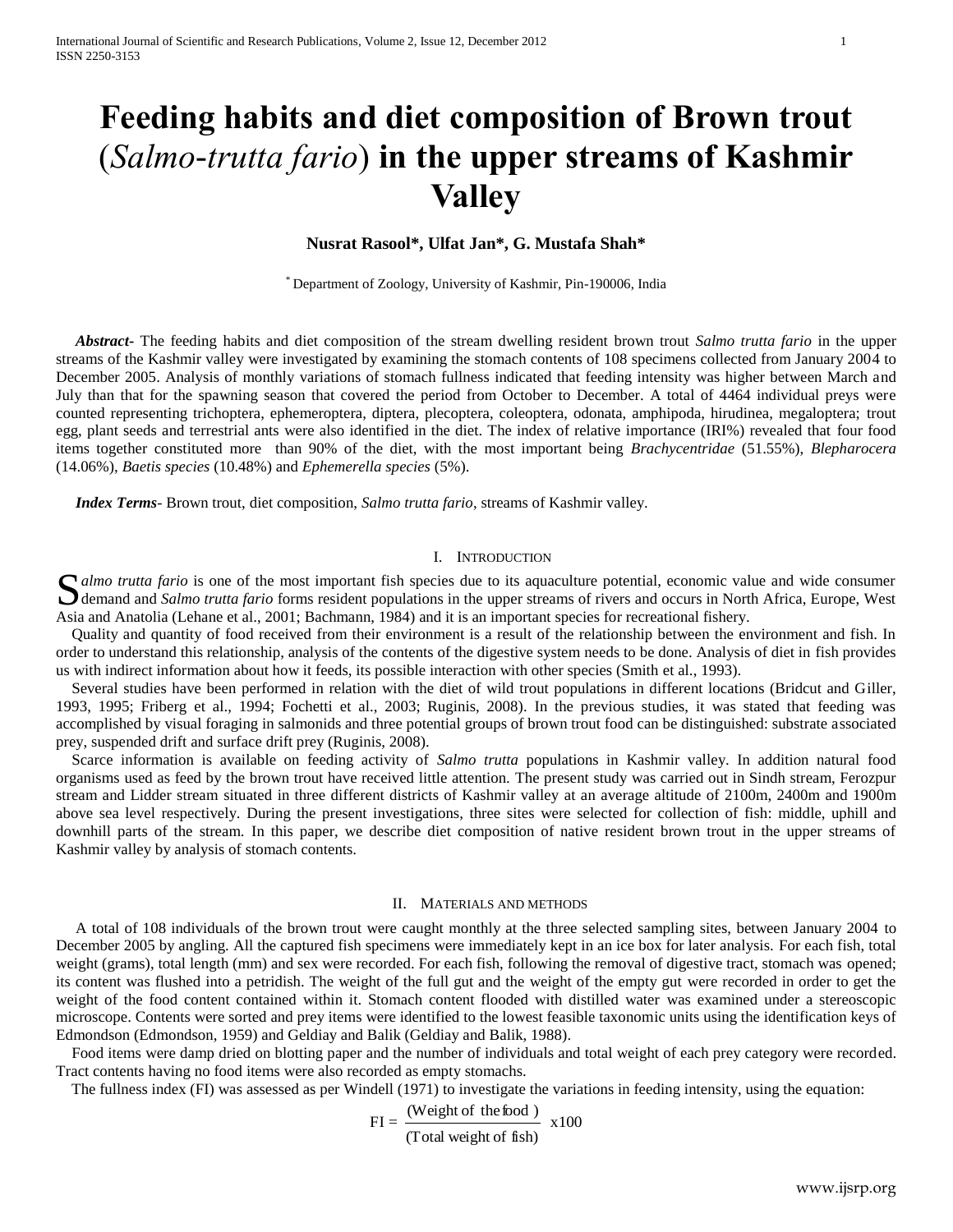# **Feeding habits and diet composition of Brown trout**  (*Salmo-trutta fario*) **in the upper streams of Kashmir Valley**

## **Nusrat Rasool\*, Ulfat Jan\*, G. Mustafa Shah\***

\* Department of Zoology, University of Kashmir, Pin-190006, India

 *Abstract***-** The feeding habits and diet composition of the stream dwelling resident brown trout *Salmo trutta fario* in the upper streams of the Kashmir valley were investigated by examining the stomach contents of 108 specimens collected from January 2004 to December 2005. Analysis of monthly variations of stomach fullness indicated that feeding intensity was higher between March and July than that for the spawning season that covered the period from October to December. A total of 4464 individual preys were counted representing trichoptera, ephemeroptera, diptera, plecoptera, coleoptera, odonata, amphipoda, hirudinea, megaloptera; trout egg, plant seeds and terrestrial ants were also identified in the diet. The index of relative importance (IRI%) revealed that four food items together constituted more than 90% of the diet, with the most important being *Brachycentridae* (51.55%), *Blepharocera*  (14.06%), *Baetis species* (10.48%) and *Ephemerella species* (5%).

 *Index Terms*- Brown trout, diet composition, *Salmo trutta fario*, streams of Kashmir valley.

#### I. INTRODUCTION

Salmo *trutta fario* is one of the most important fish species due to its aquaculture potential, economic value and wide consumer demand and *Salmo trutta fario* forms resident populations in the upper streams of rivers an demand and *Salmo trutta fario* forms resident populations in the upper streams of rivers and occurs in North Africa, Europe, West Asia and Anatolia (Lehane et al., 2001; Bachmann, 1984) and it is an important species for recreational fishery.

 Quality and quantity of food received from their environment is a result of the relationship between the environment and fish. In order to understand this relationship, analysis of the contents of the digestive system needs to be done. Analysis of diet in fish provides us with indirect information about how it feeds, its possible interaction with other species (Smith et al., 1993).

 Several studies have been performed in relation with the diet of wild trout populations in different locations (Bridcut and Giller, 1993, 1995; Friberg et al., 1994; Fochetti et al., 2003; Ruginis, 2008). In the previous studies, it was stated that feeding was accomplished by visual foraging in salmonids and three potential groups of brown trout food can be distinguished: substrate associated prey, suspended drift and surface drift prey (Ruginis, 2008).

 Scarce information is available on feeding activity of *Salmo trutta* populations in Kashmir valley. In addition natural food organisms used as feed by the brown trout have received little attention. The present study was carried out in Sindh stream, Ferozpur stream and Lidder stream situated in three different districts of Kashmir valley at an average altitude of 2100m, 2400m and 1900m above sea level respectively. During the present investigations, three sites were selected for collection of fish: middle, uphill and downhill parts of the stream. In this paper, we describe diet composition of native resident brown trout in the upper streams of Kashmir valley by analysis of stomach contents.

#### II. MATERIALS AND METHODS

 A total of 108 individuals of the brown trout were caught monthly at the three selected sampling sites, between January 2004 to December 2005 by angling. All the captured fish specimens were immediately kept in an ice box for later analysis. For each fish, total weight (grams), total length (mm) and sex were recorded. For each fish, following the removal of digestive tract, stomach was opened; its content was flushed into a petridish. The weight of the full gut and the weight of the empty gut were recorded in order to get the weight of the food content contained within it. Stomach content flooded with distilled water was examined under a stereoscopic microscope. Contents were sorted and prey items were identified to the lowest feasible taxonomic units using the identification keys of Edmondson (Edmondson, 1959) and Geldiay and Balik (Geldiay and Balik, 1988).

 Food items were damp dried on blotting paper and the number of individuals and total weight of each prey category were recorded. Tract contents having no food items were also recorded as empty stomachs.

The fullness index (FI) was assessed as per Windell (1971) to investigate the variations in feeding intensity, using the equation:

$$
FI = \frac{(Weight of the food)}{(Total weight of fish)} \times 100
$$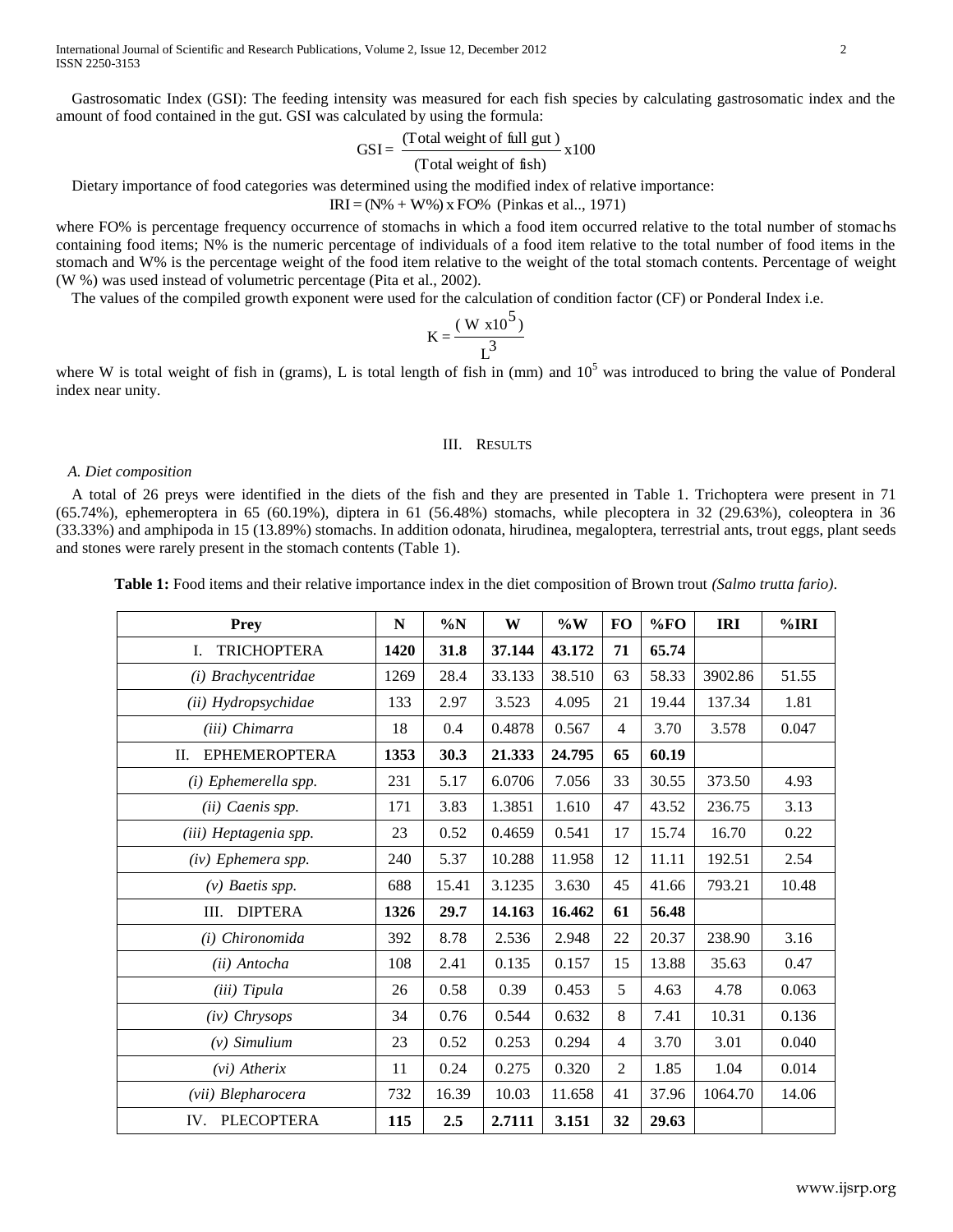Gastrosomatic Index (GSI): The feeding intensity was measured for each fish species by calculating gastrosomatic index and the amount of food contained in the gut. GSI was calculated by using the formula:

$$
GSI = \frac{(\text{Total weight of full gut})}{(\text{Total weight of fish})} \times 100
$$

Dietary importance of food categories was determined using the modified index of relative importance:

 $IRI = (N\% + W\%)$  x FO% (Pinkas et al.., 1971)

where FO% is percentage frequency occurrence of stomachs in which a food item occurred relative to the total number of stomachs containing food items; N% is the numeric percentage of individuals of a food item relative to the total number of food items in the stomach and W% is the percentage weight of the food item relative to the weight of the total stomach contents. Percentage of weight (W %) was used instead of volumetric percentage (Pita et al., 2002).

The values of the compiled growth exponent were used for the calculation of condition factor (CF) or Ponderal Index i.e.

$$
K = \frac{(W x 10^5)}{L^3}
$$

where W is total weight of fish in (grams), L is total length of fish in (mm) and  $10<sup>5</sup>$  was introduced to bring the value of Ponderal index near unity.

#### III. RESULTS

#### *A. Diet composition*

 A total of 26 preys were identified in the diets of the fish and they are presented in Table 1. Trichoptera were present in 71 (65.74%), ephemeroptera in 65 (60.19%), diptera in 61 (56.48%) stomachs, while plecoptera in 32 (29.63%), coleoptera in 36 (33.33%) and amphipoda in 15 (13.89%) stomachs. In addition odonata, hirudinea, megaloptera, terrestrial ants, trout eggs, plant seeds and stones were rarely present in the stomach contents (Table 1).

| Prey                       | N    | $\%N$ | W      | $\%W$  | <b>FO</b>      | %FO   | <b>IRI</b> | %IRI  |
|----------------------------|------|-------|--------|--------|----------------|-------|------------|-------|
| <b>TRICHOPTERA</b><br>I.   | 1420 | 31.8  | 37.144 | 43.172 | 71             | 65.74 |            |       |
| (i) Brachycentridae        | 1269 | 28.4  | 33.133 | 38.510 | 63             | 58.33 | 3902.86    | 51.55 |
| (ii) Hydropsychidae        | 133  | 2.97  | 3.523  | 4.095  | 21             | 19.44 | 137.34     | 1.81  |
| (iii) Chimarra             | 18   | 0.4   | 0.4878 | 0.567  | $\overline{4}$ | 3.70  | 3.578      | 0.047 |
| <b>EPHEMEROPTERA</b><br>П. | 1353 | 30.3  | 21.333 | 24.795 | 65             | 60.19 |            |       |
| (i) Ephemerella spp.       | 231  | 5.17  | 6.0706 | 7.056  | 33             | 30.55 | 373.50     | 4.93  |
| (ii) Caenis spp.           | 171  | 3.83  | 1.3851 | 1.610  | 47             | 43.52 | 236.75     | 3.13  |
| (iii) Heptagenia spp.      | 23   | 0.52  | 0.4659 | 0.541  | 17             | 15.74 | 16.70      | 0.22  |
| (iv) Ephemera spp.         | 240  | 5.37  | 10.288 | 11.958 | 12             | 11.11 | 192.51     | 2.54  |
| $(v)$ Baetis spp.          | 688  | 15.41 | 3.1235 | 3.630  | 45             | 41.66 | 793.21     | 10.48 |
| <b>DIPTERA</b><br>III.     | 1326 | 29.7  | 14.163 | 16.462 | 61             | 56.48 |            |       |
| (i) Chironomida            | 392  | 8.78  | 2.536  | 2.948  | 22             | 20.37 | 238.90     | 3.16  |
| (ii) Antocha               | 108  | 2.41  | 0.135  | 0.157  | 15             | 13.88 | 35.63      | 0.47  |
| (iii) Tipula               | 26   | 0.58  | 0.39   | 0.453  | 5              | 4.63  | 4.78       | 0.063 |
| $(iv)$ Chrysops            | 34   | 0.76  | 0.544  | 0.632  | 8              | 7.41  | 10.31      | 0.136 |
| $(v)$ Simulium             | 23   | 0.52  | 0.253  | 0.294  | $\overline{4}$ | 3.70  | 3.01       | 0.040 |
| $(vi)$ Atherix             | 11   | 0.24  | 0.275  | 0.320  | $\overline{2}$ | 1.85  | 1.04       | 0.014 |
| (vii) Blepharocera         | 732  | 16.39 | 10.03  | 11.658 | 41             | 37.96 | 1064.70    | 14.06 |
| <b>PLECOPTERA</b><br>IV.   | 115  | 2.5   | 2.7111 | 3.151  | 32             | 29.63 |            |       |

**Table 1:** Food items and their relative importance index in the diet composition of Brown trout *(Salmo trutta fario)*.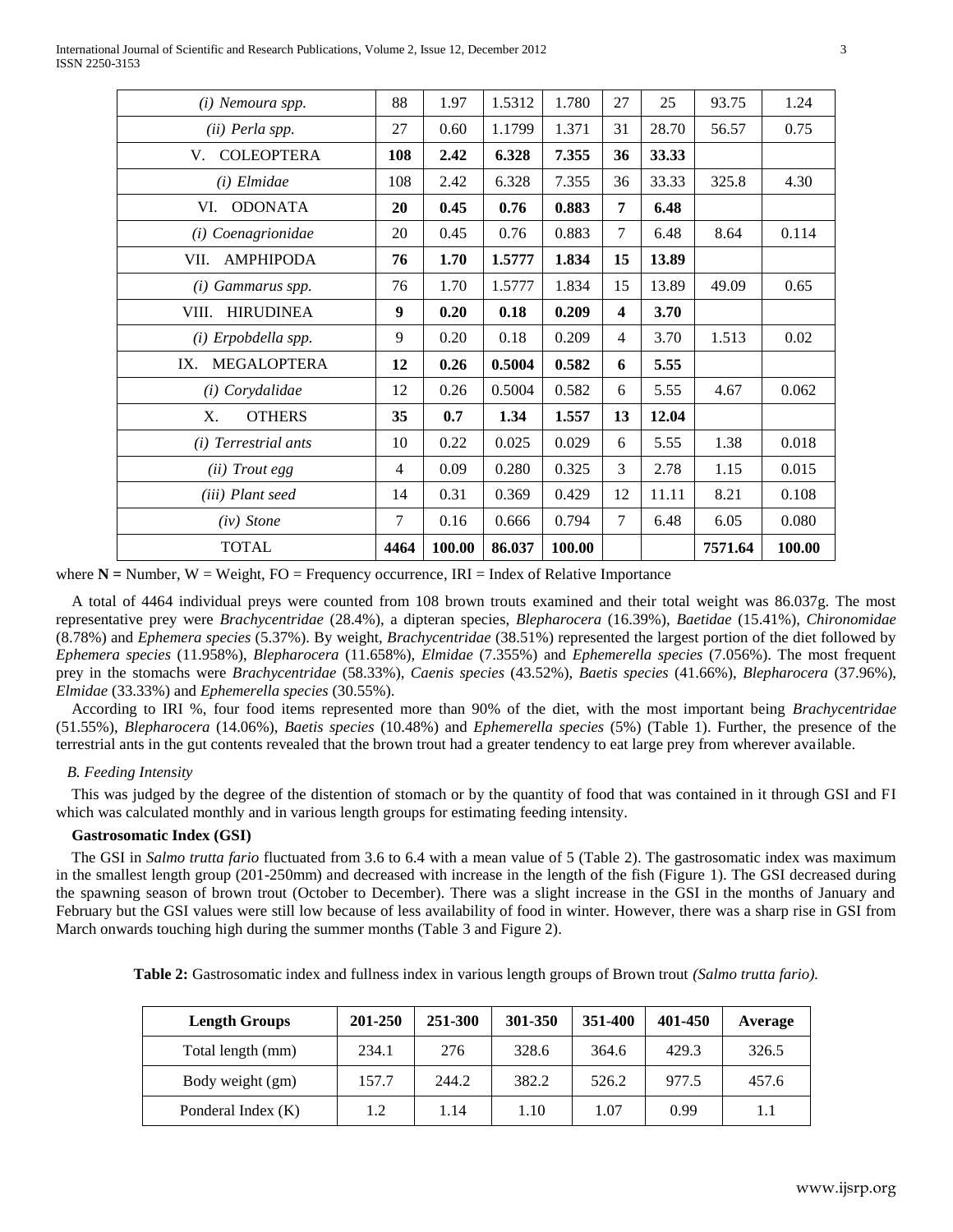| (i) Nemoura spp.          | 88             | 1.97   | 1.5312 | 1.780  | 27                      | 25    | 93.75   | 1.24   |
|---------------------------|----------------|--------|--------|--------|-------------------------|-------|---------|--------|
| (ii) Perla spp.           | 27             | 0.60   | 1.1799 | 1.371  | 31                      | 28.70 | 56.57   | 0.75   |
| <b>COLEOPTERA</b><br>V.   | 108            | 2.42   | 6.328  | 7.355  | 36                      | 33.33 |         |        |
| (i) Elmidae               | 108            | 2.42   | 6.328  | 7.355  | 36                      | 33.33 | 325.8   | 4.30   |
| <b>ODONATA</b><br>VI.     | 20             | 0.45   | 0.76   | 0.883  | 7                       | 6.48  |         |        |
| (i) Coenagrionidae        | 20             | 0.45   | 0.76   | 0.883  | $\tau$                  | 6.48  | 8.64    | 0.114  |
| <b>AMPHIPODA</b><br>VII.  | 76             | 1.70   | 1.5777 | 1.834  | 15                      | 13.89 |         |        |
| (i) Gammarus spp.         | 76             | 1.70   | 1.5777 | 1.834  | 15                      | 13.89 | 49.09   | 0.65   |
| VIII.<br><b>HIRUDINEA</b> | 9              | 0.20   | 0.18   | 0.209  | $\overline{\mathbf{4}}$ | 3.70  |         |        |
| $(i)$ Erpobdella spp.     | 9              | 0.20   | 0.18   | 0.209  | $\overline{4}$          | 3.70  | 1.513   | 0.02   |
| <b>MEGALOPTERA</b><br>IX. | 12             | 0.26   | 0.5004 | 0.582  | 6                       | 5.55  |         |        |
| ( <i>i</i> ) Corydalidae  | 12             | 0.26   | 0.5004 | 0.582  | 6                       | 5.55  | 4.67    | 0.062  |
| X.<br><b>OTHERS</b>       | 35             | 0.7    | 1.34   | 1.557  | 13                      | 12.04 |         |        |
| (i) Terrestrial ants      | 10             | 0.22   | 0.025  | 0.029  | 6                       | 5.55  | 1.38    | 0.018  |
| (ii) Trout egg            | $\overline{4}$ | 0.09   | 0.280  | 0.325  | 3                       | 2.78  | 1.15    | 0.015  |
| (iii) Plant seed          | 14             | 0.31   | 0.369  | 0.429  | 12                      | 11.11 | 8.21    | 0.108  |
| $(iv)$ Stone              | 7              | 0.16   | 0.666  | 0.794  | $\tau$                  | 6.48  | 6.05    | 0.080  |
| <b>TOTAL</b>              | 4464           | 100.00 | 86.037 | 100.00 |                         |       | 7571.64 | 100.00 |
|                           |                |        |        |        |                         |       |         |        |

where  $N =$  Number,  $W =$  Weight,  $FO =$  Frequency occurrence,  $IRI =$  Index of Relative Importance

 A total of 4464 individual preys were counted from 108 brown trouts examined and their total weight was 86.037g. The most representative prey were *Brachycentridae* (28.4%), a dipteran species, *Blepharocera* (16.39%), *Baetidae* (15.41%), *Chironomidae* (8.78%) and *Ephemera species* (5.37%). By weight, *Brachycentridae* (38.51%) represented the largest portion of the diet followed by *Ephemera species* (11.958%), *Blepharocera* (11.658%), *Elmidae* (7.355%) and *Ephemerella species* (7.056%). The most frequent prey in the stomachs were *Brachycentridae* (58.33%), *Caenis species* (43.52%), *Baetis species* (41.66%), *Blepharocera* (37.96%), *Elmidae* (33.33%) and *Ephemerella species* (30.55%).

 According to IRI %, four food items represented more than 90% of the diet, with the most important being *Brachycentridae* (51.55%), *Blepharocera* (14.06%), *Baetis species* (10.48%) and *Ephemerella species* (5%) (Table 1). Further, the presence of the terrestrial ants in the gut contents revealed that the brown trout had a greater tendency to eat large prey from wherever available.

### *B. Feeding Intensity*

 This was judged by the degree of the distention of stomach or by the quantity of food that was contained in it through GSI and FI which was calculated monthly and in various length groups for estimating feeding intensity.

#### **Gastrosomatic Index (GSI)**

 The GSI in *Salmo trutta fario* fluctuated from 3.6 to 6.4 with a mean value of 5 (Table 2). The gastrosomatic index was maximum in the smallest length group (201-250mm) and decreased with increase in the length of the fish (Figure 1). The GSI decreased during the spawning season of brown trout (October to December). There was a slight increase in the GSI in the months of January and February but the GSI values were still low because of less availability of food in winter. However, there was a sharp rise in GSI from March onwards touching high during the summer months (Table 3 and Figure 2).

| Table 2: Gastrosomatic index and fullness index in various length groups of Brown trout (Salmo trutta fario). |  |  |
|---------------------------------------------------------------------------------------------------------------|--|--|
|---------------------------------------------------------------------------------------------------------------|--|--|

| <b>Length Groups</b> | 201-250 | 251-300 | 301-350 | 351-400 | 401-450 | Average |
|----------------------|---------|---------|---------|---------|---------|---------|
| Total length (mm)    | 234.1   | 276     | 328.6   | 364.6   | 429.3   | 326.5   |
| Body weight (gm)     | 157.7   | 244.2   | 382.2   | 526.2   | 977.5   | 457.6   |
| Ponderal Index (K)   | 1.2     | 1.14    | 1.10    | 1.07    | 0.99    | 1.1     |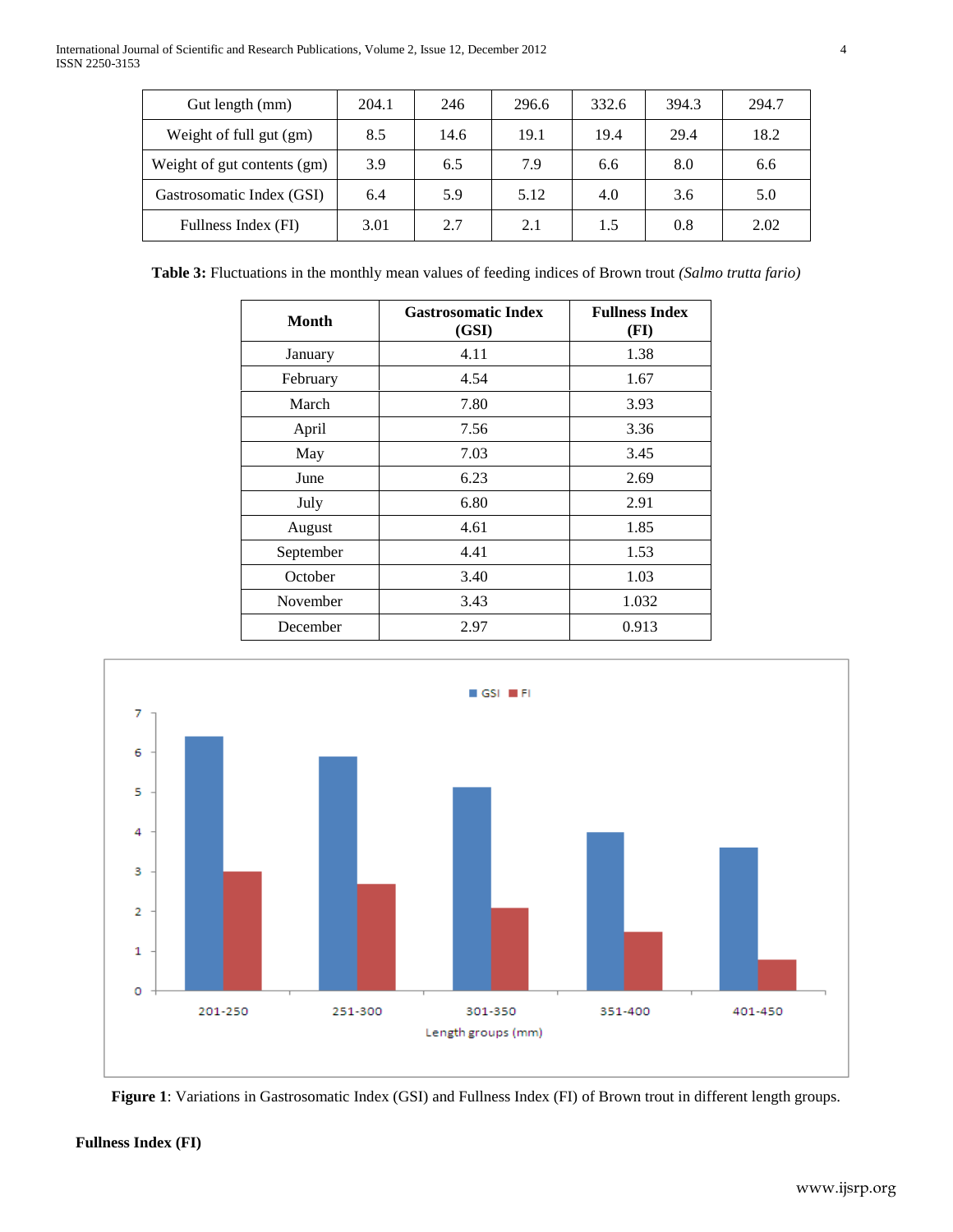| Gut length (mm)             | 204.1 | 246  | 296.6 | 332.6 | 394.3 | 294.7 |
|-----------------------------|-------|------|-------|-------|-------|-------|
| Weight of full gut (gm)     | 8.5   | 14.6 | 19.1  | 19.4  | 29.4  | 18.2  |
| Weight of gut contents (gm) | 3.9   | 6.5  | 7.9   | 6.6   | 8.0   | 6.6   |
| Gastrosomatic Index (GSI)   | 6.4   | 5.9  | 5.12  | 4.0   | 3.6   | 5.0   |
| Fullness Index (FI)         | 3.01  | 2.7  | 2.1   | 1.5   | 0.8   | 2.02  |

**Table 3:** Fluctuations in the monthly mean values of feeding indices of Brown trout *(Salmo trutta fario)*

| Month     | <b>Gastrosomatic Index</b><br>(GSI) | <b>Fullness Index</b><br>(FI) |
|-----------|-------------------------------------|-------------------------------|
| January   | 4.11                                | 1.38                          |
| February  | 4.54                                | 1.67                          |
| March     | 7.80                                | 3.93                          |
| April     | 7.56                                | 3.36                          |
| May       | 7.03                                | 3.45                          |
| June      | 6.23                                | 2.69                          |
| July      | 6.80                                | 2.91                          |
| August    | 4.61                                | 1.85                          |
| September | 4.41                                | 1.53                          |
| October   | 3.40                                | 1.03                          |
| November  | 3.43                                | 1.032                         |
| December  | 2.97                                | 0.913                         |





# **Fullness Index (FI)**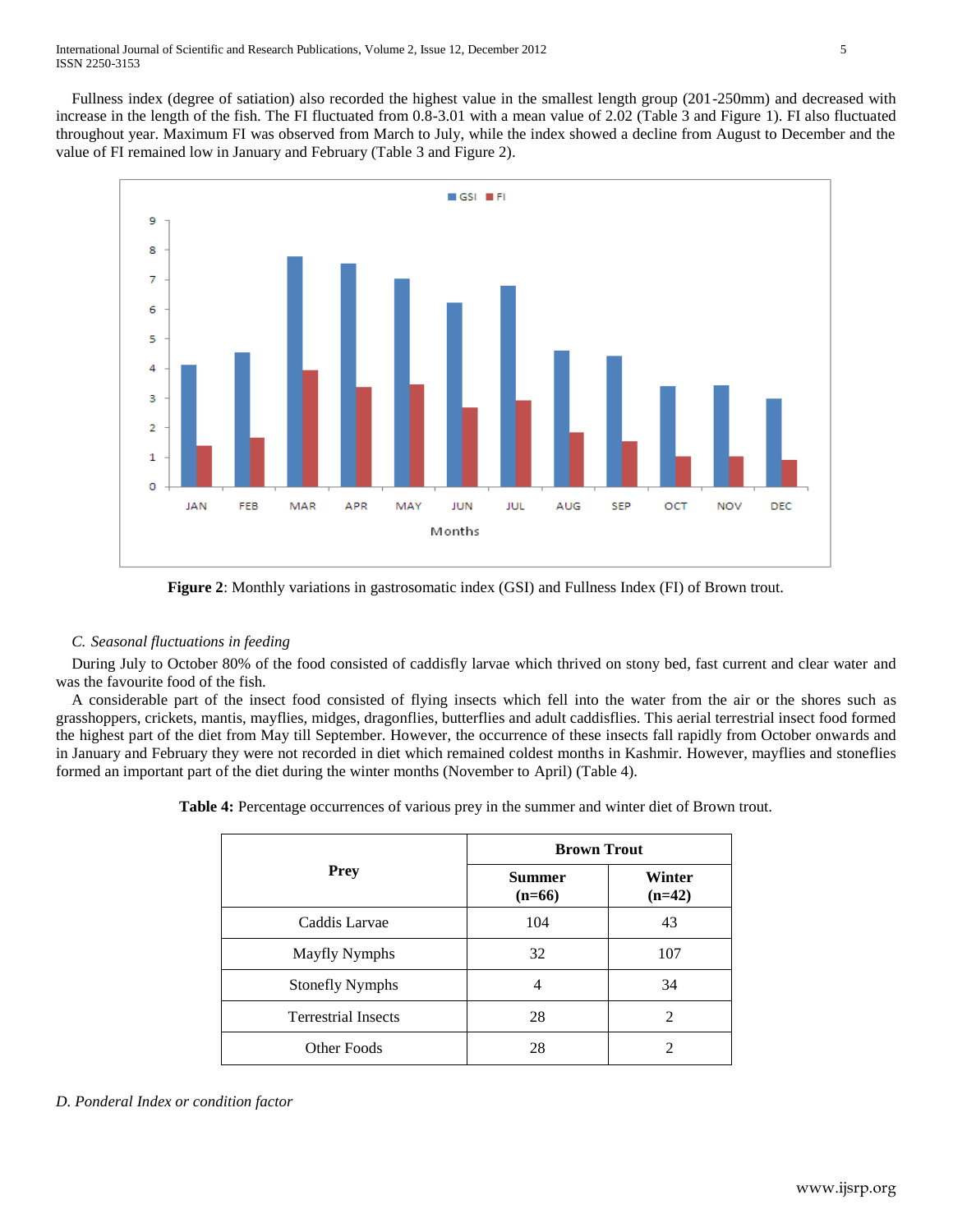Fullness index (degree of satiation) also recorded the highest value in the smallest length group (201-250mm) and decreased with increase in the length of the fish. The FI fluctuated from 0.8-3.01 with a mean value of 2.02 (Table 3 and Figure 1). FI also fluctuated throughout year. Maximum FI was observed from March to July, while the index showed a decline from August to December and the value of FI remained low in January and February (Table 3 and Figure 2).



**Figure 2**: Monthly variations in gastrosomatic index (GSI) and Fullness Index (FI) of Brown trout.

# *C. Seasonal fluctuations in feeding*

 During July to October 80% of the food consisted of caddisfly larvae which thrived on stony bed, fast current and clear water and was the favourite food of the fish.

 A considerable part of the insect food consisted of flying insects which fell into the water from the air or the shores such as grasshoppers, crickets, mantis, mayflies, midges, dragonflies, butterflies and adult caddisflies. This aerial terrestrial insect food formed the highest part of the diet from May till September. However, the occurrence of these insects fall rapidly from October onwards and in January and February they were not recorded in diet which remained coldest months in Kashmir. However, mayflies and stoneflies formed an important part of the diet during the winter months (November to April) (Table 4).

**Table 4:** Percentage occurrences of various prey in the summer and winter diet of Brown trout.

| <b>Prey</b>                | <b>Brown Trout</b>        |                    |  |  |  |
|----------------------------|---------------------------|--------------------|--|--|--|
|                            | <b>Summer</b><br>$(n=66)$ | Winter<br>$(n=42)$ |  |  |  |
| Caddis Larvae              | 104                       | 43                 |  |  |  |
| <b>Mayfly Nymphs</b>       | 32                        | 107                |  |  |  |
| <b>Stonefly Nymphs</b>     | 4                         | 34                 |  |  |  |
| <b>Terrestrial Insects</b> | 28                        | 2                  |  |  |  |
| <b>Other Foods</b>         | 28                        | $\mathcal{D}$      |  |  |  |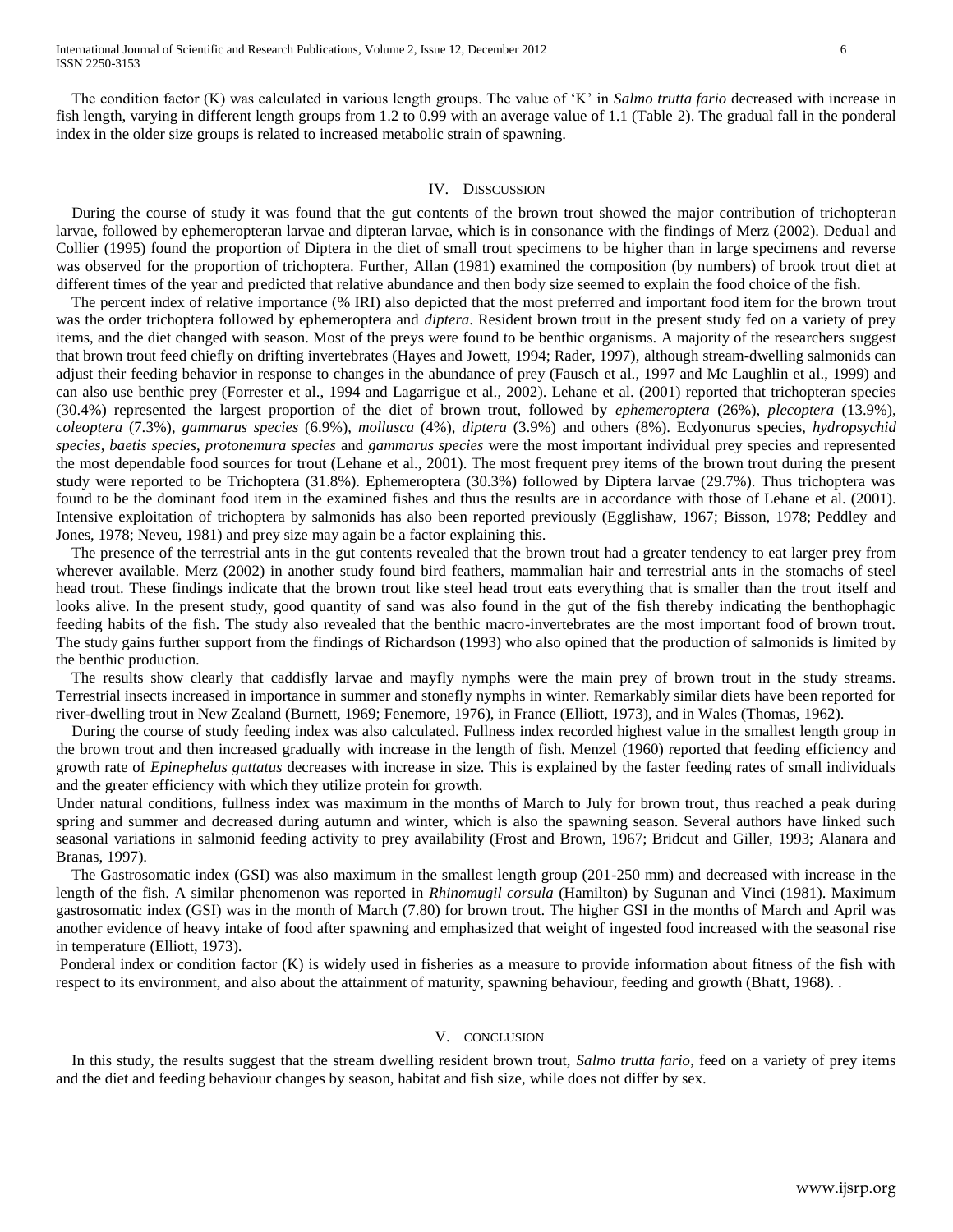The condition factor (K) was calculated in various length groups. The value of 'K' in *Salmo trutta fario* decreased with increase in fish length, varying in different length groups from 1.2 to 0.99 with an average value of 1.1 (Table 2). The gradual fall in the ponderal index in the older size groups is related to increased metabolic strain of spawning.

#### IV. DISSCUSSION

 During the course of study it was found that the gut contents of the brown trout showed the major contribution of trichopteran larvae, followed by ephemeropteran larvae and dipteran larvae, which is in consonance with the findings of Merz (2002). Dedual and Collier (1995) found the proportion of Diptera in the diet of small trout specimens to be higher than in large specimens and reverse was observed for the proportion of trichoptera. Further, Allan (1981) examined the composition (by numbers) of brook trout diet at different times of the year and predicted that relative abundance and then body size seemed to explain the food choice of the fish.

 The percent index of relative importance (% IRI) also depicted that the most preferred and important food item for the brown trout was the order trichoptera followed by ephemeroptera and *diptera*. Resident brown trout in the present study fed on a variety of prey items, and the diet changed with season. Most of the preys were found to be benthic organisms. A majority of the researchers suggest that brown trout feed chiefly on drifting invertebrates (Hayes and Jowett, 1994; Rader, 1997), although stream-dwelling salmonids can adjust their feeding behavior in response to changes in the abundance of prey (Fausch et al., 1997 and Mc Laughlin et al., 1999) and can also use benthic prey (Forrester et al., 1994 and Lagarrigue et al., 2002). Lehane et al. (2001) reported that trichopteran species (30.4%) represented the largest proportion of the diet of brown trout, followed by *ephemeroptera* (26%), *plecoptera* (13.9%), *coleoptera* (7.3%), *gammarus species* (6.9%), *mollusca* (4%), *diptera* (3.9%) and others (8%). Ecdyonurus species, *hydropsychid species*, *baetis species*, *protonemura species* and *gammarus species* were the most important individual prey species and represented the most dependable food sources for trout (Lehane et al., 2001). The most frequent prey items of the brown trout during the present study were reported to be Trichoptera (31.8%). Ephemeroptera (30.3%) followed by Diptera larvae (29.7%). Thus trichoptera was found to be the dominant food item in the examined fishes and thus the results are in accordance with those of Lehane et al. (2001). Intensive exploitation of trichoptera by salmonids has also been reported previously (Egglishaw, 1967; Bisson, 1978; Peddley and Jones, 1978; Neveu, 1981) and prey size may again be a factor explaining this.

 The presence of the terrestrial ants in the gut contents revealed that the brown trout had a greater tendency to eat larger prey from wherever available. Merz (2002) in another study found bird feathers, mammalian hair and terrestrial ants in the stomachs of steel head trout. These findings indicate that the brown trout like steel head trout eats everything that is smaller than the trout itself and looks alive. In the present study, good quantity of sand was also found in the gut of the fish thereby indicating the benthophagic feeding habits of the fish. The study also revealed that the benthic macro-invertebrates are the most important food of brown trout. The study gains further support from the findings of Richardson (1993) who also opined that the production of salmonids is limited by the benthic production.

 The results show clearly that caddisfly larvae and mayfly nymphs were the main prey of brown trout in the study streams. Terrestrial insects increased in importance in summer and stonefly nymphs in winter. Remarkably similar diets have been reported for river-dwelling trout in New Zealand (Burnett, 1969; Fenemore, 1976), in France (Elliott, 1973), and in Wales (Thomas, 1962).

 During the course of study feeding index was also calculated. Fullness index recorded highest value in the smallest length group in the brown trout and then increased gradually with increase in the length of fish. Menzel (1960) reported that feeding efficiency and growth rate of *Epinephelus guttatus* decreases with increase in size. This is explained by the faster feeding rates of small individuals and the greater efficiency with which they utilize protein for growth.

Under natural conditions, fullness index was maximum in the months of March to July for brown trout, thus reached a peak during spring and summer and decreased during autumn and winter, which is also the spawning season. Several authors have linked such seasonal variations in salmonid feeding activity to prey availability (Frost and Brown, 1967; Bridcut and Giller, 1993; Alanara and Branas, 1997).

 The Gastrosomatic index (GSI) was also maximum in the smallest length group (201-250 mm) and decreased with increase in the length of the fish. A similar phenomenon was reported in *Rhinomugil corsula* (Hamilton) by Sugunan and Vinci (1981). Maximum gastrosomatic index (GSI) was in the month of March (7.80) for brown trout. The higher GSI in the months of March and April was another evidence of heavy intake of food after spawning and emphasized that weight of ingested food increased with the seasonal rise in temperature (Elliott, 1973).

Ponderal index or condition factor (K) is widely used in fisheries as a measure to provide information about fitness of the fish with respect to its environment, and also about the attainment of maturity, spawning behaviour, feeding and growth (Bhatt, 1968). .

#### V. CONCLUSION

 In this study, the results suggest that the stream dwelling resident brown trout, *Salmo trutta fario*, feed on a variety of prey items and the diet and feeding behaviour changes by season, habitat and fish size, while does not differ by sex.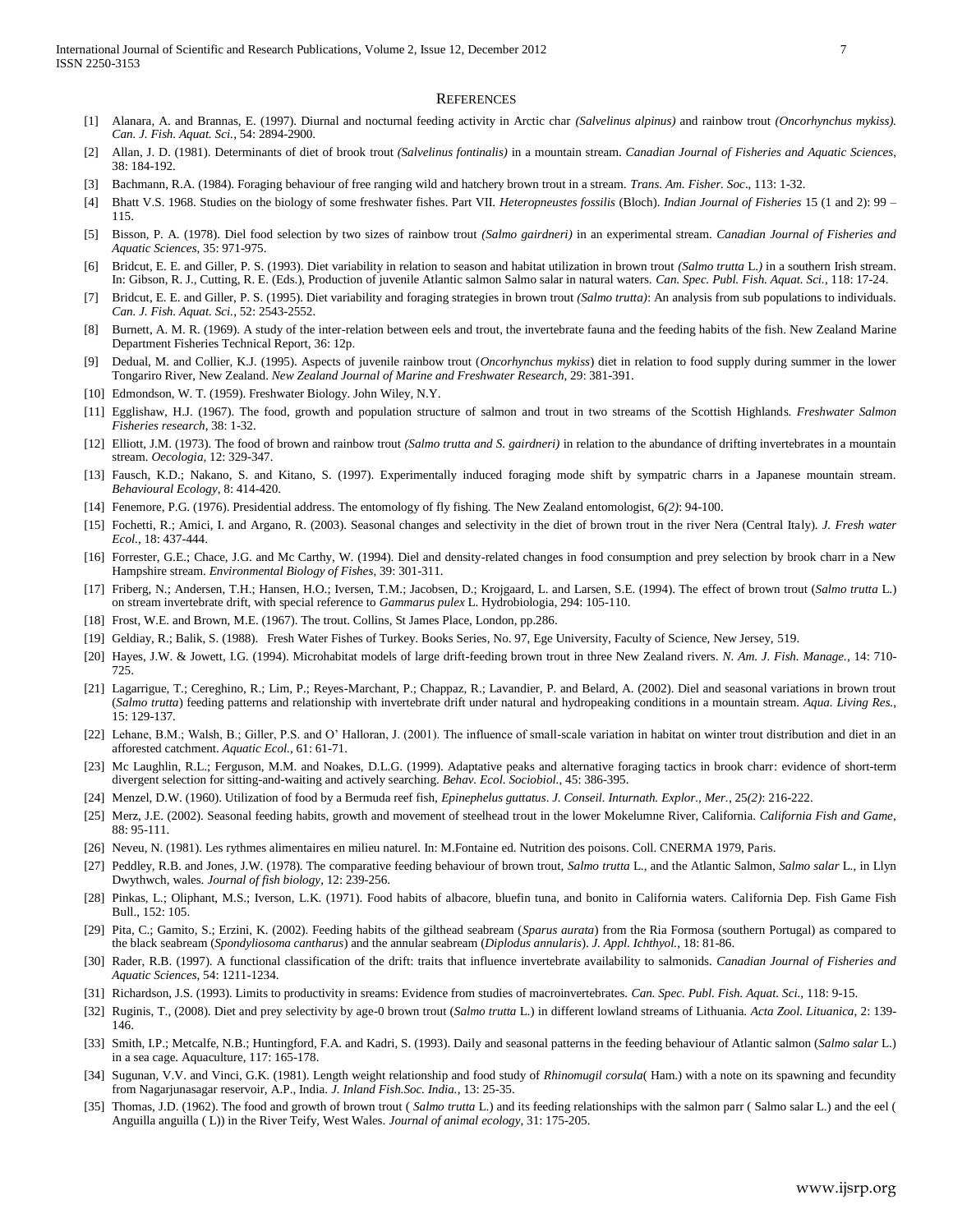#### **REFERENCES**

- [1] Alanara, A. and Brannas, E. (1997). Diurnal and nocturnal feeding activity in Arctic char *(Salvelinus alpinus)* and rainbow trout *(Oncorhynchus mykiss). Can. J. Fish. Aquat. Sci.*, 54: 2894-2900.
- [2] Allan, J. D. (1981). Determinants of diet of brook trout *(Salvelinus fontinalis)* in a mountain stream. *Canadian Journal of Fisheries and Aquatic Sciences*, 38: 184-192.
- [3] Bachmann, R.A. (1984). Foraging behaviour of free ranging wild and hatchery brown trout in a stream. *Trans. Am. Fisher. Soc*., 113: 1-32.
- [4] Bhatt V.S. 1968. Studies on the biology of some freshwater fishes. Part VII. *Heteropneustes fossilis* (Bloch). *Indian Journal of Fisheries* 15 (1 and 2): 99 115.
- [5] Bisson, P. A. (1978). Diel food selection by two sizes of rainbow trout *(Salmo gairdneri)* in an experimental stream. *Canadian Journal of Fisheries and Aquatic Sciences*, 35: 971-975.
- [6] Bridcut, E. E. and Giller, P. S. (1993). Diet variability in relation to season and habitat utilization in brown trout *(Salmo trutta* L.*)* in a southern Irish stream. In: Gibson, R. J., Cutting, R. E. (Eds.), Production of juvenile Atlantic salmon Salmo salar in natural waters. *Can. Spec. Publ. Fish. Aquat. Sci.*, 118: 17-24.
- [7] Bridcut, E. E. and Giller, P. S. (1995). Diet variability and foraging strategies in brown trout *(Salmo trutta)*: An analysis from sub populations to individuals. *Can. J. Fish. Aquat. Sci.*, 52: 2543-2552.
- [8] Burnett, A. M. R. (1969). A study of the inter-relation between eels and trout, the invertebrate fauna and the feeding habits of the fish. New Zealand Marine Department Fisheries Technical Report, 36: 12p.
- [9] Dedual, M. and Collier, K.J. (1995). Aspects of juvenile rainbow trout (*Oncorhynchus mykiss*) diet in relation to food supply during summer in the lower Tongariro River, New Zealand. *New Zealand Journal of Marine and Freshwater Research*, 29: 381-391.
- [10] Edmondson, W. T. (1959). Freshwater Biology. John Wiley, N.Y.
- [11] Egglishaw, H.J. (1967). The food, growth and population structure of salmon and trout in two streams of the Scottish Highlands. *Freshwater Salmon Fisheries research*, 38: 1-32.
- [12] Elliott, J.M. (1973). The food of brown and rainbow trout *(Salmo trutta and S. gairdneri)* in relation to the abundance of drifting invertebrates in a mountain stream. *Oecologia*, 12: 329-347.
- [13] Fausch, K.D.; Nakano, S. and Kitano, S. (1997). Experimentally induced foraging mode shift by sympatric charrs in a Japanese mountain stream. *Behavioural Ecology*, 8: 414-420.
- [14] Fenemore, P.G. (1976). Presidential address. The entomology of fly fishing. The New Zealand entomologist, 6*(2)*: 94-100.
- [15] Fochetti, R.; Amici, I. and Argano, R. (2003). Seasonal changes and selectivity in the diet of brown trout in the river Nera (Central Italy). *J. Fresh water Ecol.*, 18: 437-444.
- [16] Forrester, G.E.; Chace, J.G. and Mc Carthy, W. (1994). Diel and density-related changes in food consumption and prey selection by brook charr in a New Hampshire stream. *Environmental Biology of Fishes*, 39: 301-311.
- [17] Friberg, N.; Andersen, T.H.; Hansen, H.O.; Iversen, T.M.; Jacobsen, D.; Krojgaard, L. and Larsen, S.E. (1994). The effect of brown trout (*Salmo trutta* L.) on stream invertebrate drift, with special reference to *Gammarus pulex* L. Hydrobiologia, 294: 105-110.
- [18] Frost, W.E. and Brown, M.E. (1967). The trout. Collins, St James Place, London, pp.286.
- [19] Geldiay, R.; Balik, S. (1988). Fresh Water Fishes of Turkey. Books Series, No. 97, Ege University, Faculty of Science, New Jersey, 519.
- [20] Hayes, J.W. & Jowett, I.G. (1994). Microhabitat models of large drift-feeding brown trout in three New Zealand rivers. *N. Am. J. Fish. Manage.*, 14: 710- 725.
- [21] Lagarrigue, T.; Cereghino, R.; Lim, P.; Reyes-Marchant, P.; Chappaz, R.; Lavandier, P. and Belard, A. (2002). Diel and seasonal variations in brown trout (*Salmo trutta*) feeding patterns and relationship with invertebrate drift under natural and hydropeaking conditions in a mountain stream. *Aqua. Living Res.*, 15: 129-137.
- [22] Lehane, B.M.; Walsh, B.; Giller, P.S. and O' Halloran, J. (2001). The influence of small-scale variation in habitat on winter trout distribution and diet in an afforested catchment. *Aquatic Ecol.*, 61: 61-71.
- [23] Mc Laughlin, R.L.; Ferguson, M.M. and Noakes, D.L.G. (1999). Adaptative peaks and alternative foraging tactics in brook charr: evidence of short-term divergent selection for sitting-and-waiting and actively searching. *Behav. Ecol. Sociobiol.*, 45: 386-395.
- [24] Menzel, D.W. (1960). Utilization of food by a Bermuda reef fish, *Epinephelus guttatus*. *J. Conseil. Inturnath. Explor., Mer.*, 25*(2)*: 216-222.
- [25] Merz, J.E. (2002). Seasonal feeding habits, growth and movement of steelhead trout in the lower Mokelumne River, California. *California Fish and Game*, 88: 95-111.
- [26] Neveu, N. (1981). Les rythmes alimentaires en milieu naturel. In: M.Fontaine ed. Nutrition des poisons. Coll. CNERMA 1979, Paris.
- [27] Peddley, R.B. and Jones, J.W. (1978). The comparative feeding behaviour of brown trout, *Salmo trutta* L., and the Atlantic Salmon, *Salmo salar* L., in Llyn Dwythwch, wales. *Journal of fish biology*, 12: 239-256.
- [28] Pinkas, L.; Oliphant, M.S.; Iverson, L.K. (1971). Food habits of albacore, bluefin tuna, and bonito in California waters. California Dep. Fish Game Fish Bull., 152: 105.
- [29] Pita, C.; Gamito, S.; Erzini, K. (2002). Feeding habits of the gilthead seabream (*Sparus aurata*) from the Ria Formosa (southern Portugal) as compared to the black seabream (*Spondyliosoma cantharus*) and the annular seabream (*Diplodus annularis*). *J. Appl. Ichthyol.,* 18: 81-86.
- [30] Rader, R.B. (1997). A functional classification of the drift: traits that influence invertebrate availability to salmonids. *Canadian Journal of Fisheries and Aquatic Sciences*, 54: 1211-1234.
- [31] Richardson, J.S. (1993). Limits to productivity in sreams: Evidence from studies of macroinvertebrates. *Can. Spec. Publ. Fish. Aquat. Sci.,* 118: 9-15.
- [32] Ruginis, T., (2008). Diet and prey selectivity by age-0 brown trout (*Salmo trutta* L.) in different lowland streams of Lithuania. *Acta Zool. Lituanica*, 2: 139- 146.
- [33] Smith, I.P.; Metcalfe, N.B.; Huntingford, F.A. and Kadri, S. (1993). Daily and seasonal patterns in the feeding behaviour of Atlantic salmon (*Salmo salar* L.) in a sea cage. Aquaculture, 117: 165-178.
- [34] Sugunan, V.V. and Vinci, G.K. (1981). Length weight relationship and food study of *Rhinomugil corsula*( Ham.) with a note on its spawning and fecundity from Nagarjunasagar reservoir, A.P., India. *J. Inland Fish.Soc. India.*, 13: 25-35.
- [35] Thomas, J.D. (1962). The food and growth of brown trout ( *Salmo trutta* L.) and its feeding relationships with the salmon parr ( Salmo salar L.) and the eel ( Anguilla anguilla ( L)) in the River Teify, West Wales. *Journal of animal ecology*, 31: 175-205.